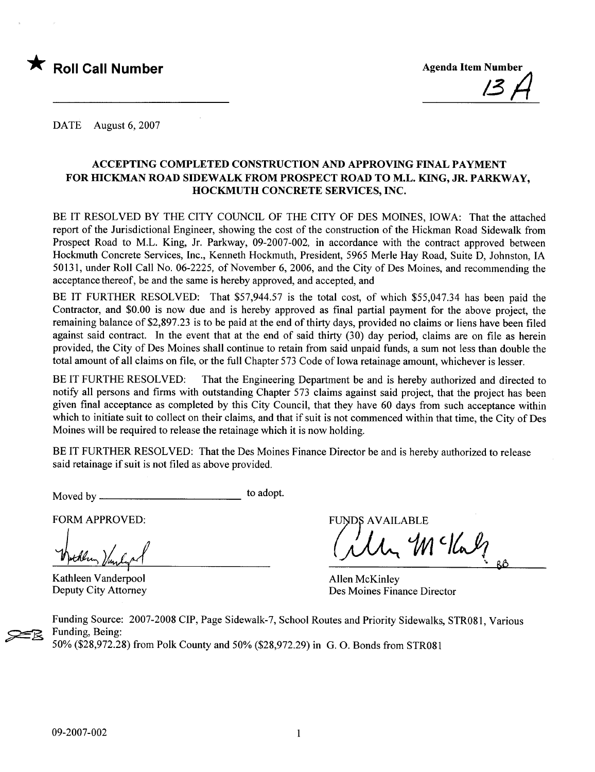

DATE August 6, 2007

### ACCEPTING COMPLETED CONSTRUCTION AND APPROVING FINAL PAYMENT FOR HICKMAN ROAD SIDEWALK FROM PROSPECT ROAD TO M.L. KING, JR. PARKWAY, HOCKMUTH CONCRETE SERVICES, INC.

BE IT RESOLVED BY THE CITY COUNCIL OF THE CITY OF DES MOINES, IOWA: That the attached report of the Jurisdictional Engineer, showing the cost of the construction of the Hickman Road Sidewalk from Prospect Road to M.L. King, Jr. Parkway, 09-2007-002, in accordance with the contract approved between Hockmuth Concrete Services, Inc., Kenneth Hockmuth, President, 5965 Merle Hay Road, Suite D, Johnston, IA 50131, under Roll Call No. 06-2225, of November 6,2006, and the City of Des Moines, and recommending the acceptance thereof, be and the same is hereby approved, and accepted, and

BE IT FURTHER RESOLVED: That \$57,944.57 is the total cost, of which \$55,047.34 has been paid the Contractor, and \$0.00 is now due and is hereby approved as final partial payment for the above project, the remaining balance of \$2,897.23 is to be paid at the end of thirty days, provided no claims or liens have been filed against said contract. In the event that at the end of said thirty (30) day period, claims are on file as herein provided, the City of Des Moines shall continue to retain from said unpaid funds, a sum not less than double the total amount of all claims on file, or the full Chapter 573 Code of Iowa retainage amount, whichever is lesser.

BE IT FURTHE RESOLVED: That the Engineering Department be and is hereby authorized and directed to notify all persons and firms with outstanding Chapter 573 claims against said project, that the project has been given final acceptance as completed by this City Council, that they have 60 days from such acceptance within which to initiate suit to collect on their claims, and that if suit is not commenced within that time, the City of Des Moines will be required to release the retainage which it is now holding.

BE IT FURTHER RESOLVED: That the Des Moines Finance Director be and is hereby authorized to release said retainage if suit is not fied as above provided.

Moved by to adopt.

FORM APPROVED:

Wellen Vanly 1

Kathleen Vanderpool Deputy City Attorney

FUNDS AVAILABLE

 $10$   $16$ 

Allen McKinley Des Moines Finance Director

Funding Source: 2007-2008 CIP, Page Sidewalk-7, School Routes and Priority Sidewalks, STR081, Various Funding, Being: 50% (\$28,972.28) from Polk County and 50% (\$28,972.29) in G. O. Bonds from STR081

**22**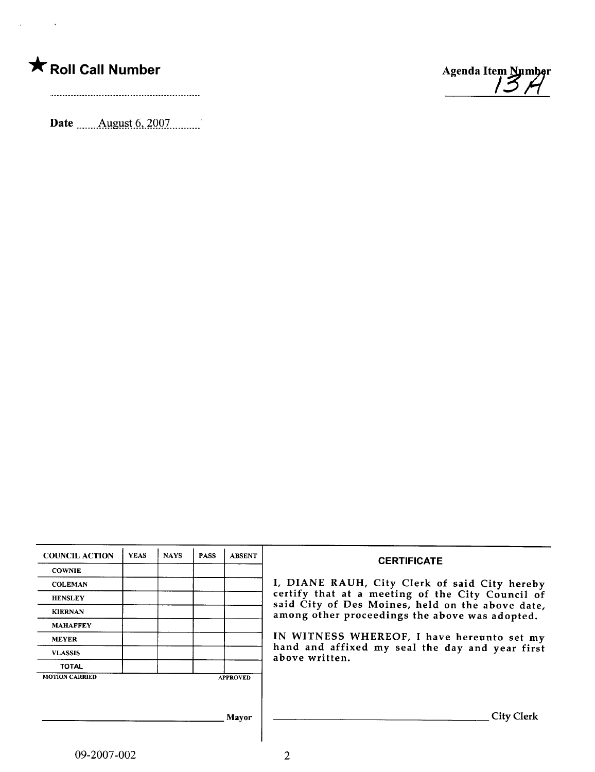

 $\mathcal{A}^{\text{max}}_{\text{max}}$  and  $\mathcal{A}^{\text{max}}_{\text{max}}$ 

Date \_\_\_\_\_\_ August 6, 2007



| <b>COUNCIL ACTION</b> | <b>YEAS</b> | <b>NAYS</b> | <b>PASS</b> | <b>ABSENT</b>   | <b>CERTIFICATE</b>                                                                                 |
|-----------------------|-------------|-------------|-------------|-----------------|----------------------------------------------------------------------------------------------------|
| <b>COWNIE</b>         |             |             |             |                 |                                                                                                    |
| <b>COLEMAN</b>        |             |             |             |                 | I, DIANE RAUH, City Clerk of said City hereby                                                      |
| <b>HENSLEY</b>        |             |             |             |                 | certify that at a meeting of the City Council of                                                   |
| <b>KIERNAN</b>        |             |             |             |                 | said City of Des Moines, held on the above date,<br>among other proceedings the above was adopted. |
| <b>MAHAFFEY</b>       |             |             |             |                 |                                                                                                    |
| <b>MEYER</b>          |             |             |             |                 | IN WITNESS WHEREOF, I have hereunto set my                                                         |
| <b>VLASSIS</b>        |             |             |             |                 | hand and affixed my seal the day and year first<br>above written.                                  |
| <b>TOTAL</b>          |             |             |             |                 |                                                                                                    |
| <b>MOTION CARRIED</b> |             |             |             | <b>APPROVED</b> |                                                                                                    |
|                       |             |             |             |                 |                                                                                                    |
|                       |             |             |             |                 |                                                                                                    |
|                       |             |             |             | Mavor           | <b>City Clerk</b>                                                                                  |
|                       |             |             |             |                 |                                                                                                    |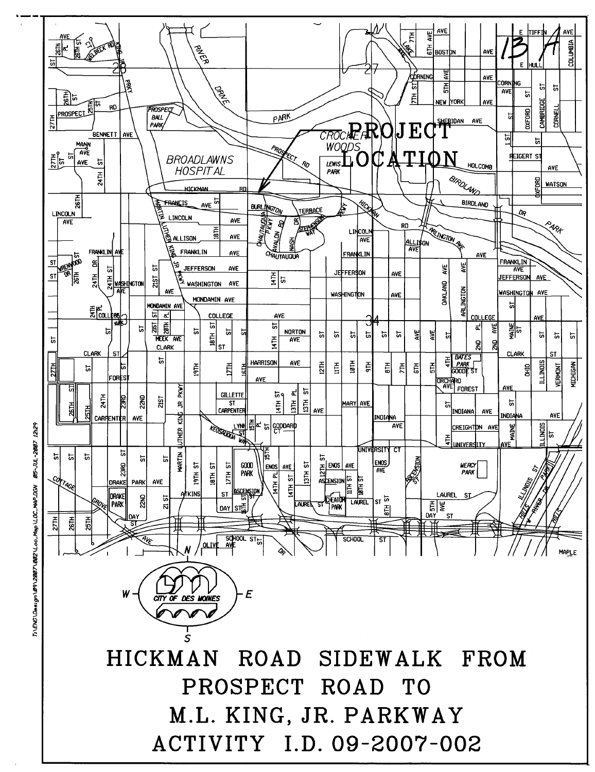

 $\tilde{r}$ ~ ~ ~ c: ~ ~ :: Loo\_May ~l\ ¡( ~  $Desion \n0$ 

~ i: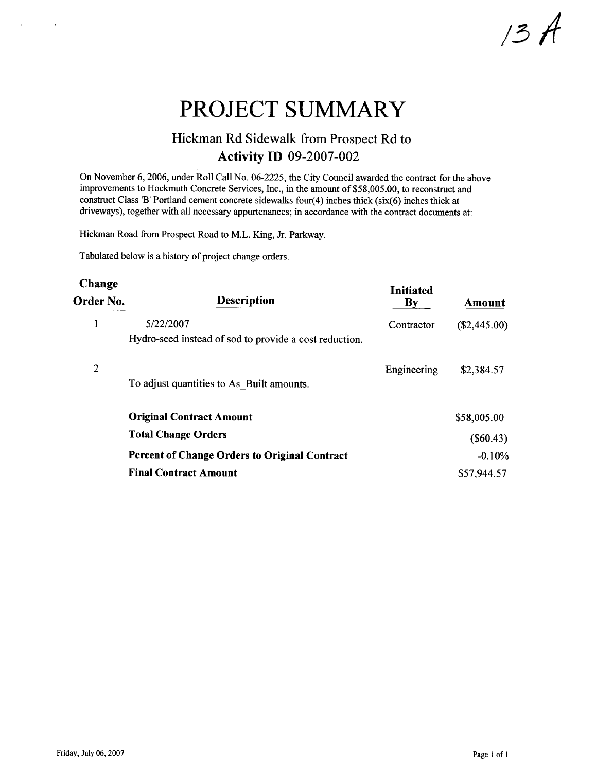/3A

# PROJECT SUMMARY

## Hickman Rd Sidewalk from Prospect Rd to Activity ID 09-2007-002

On November 6,2006, under Roll Call No. 06-2225, the City Council awarded the contract for the above improvements to Hockmuth Concrete Services, Inc., in the amount of \$58,005.00, to reconstruct and construct Class 'B' Portland cement concrete sidewalks four $(4)$  inches thick (six(6) inches thick at driveways), together with all necessary appurtenances; in accordance with the contract documents at:

Hickman Road from Prospect Road to M.L. King, Jr. Parkway.

Tabulated below is a history of project change orders.

#### Change Order No. Description Initiated **Amount** <sup>1</sup> 5/22/2007 Hydro-seed instead of sod to provide a cost reduction. Contractor (\$2,445.00) 2 Engineering \$2,384.57 To adjust quantities to As\_Built amounts. Original Contract Amount Total Change Orders Percent of Change Orders to Original Contract Final Contract Amount \$58,005.00 (\$60.43) -0.10% \$57.944.57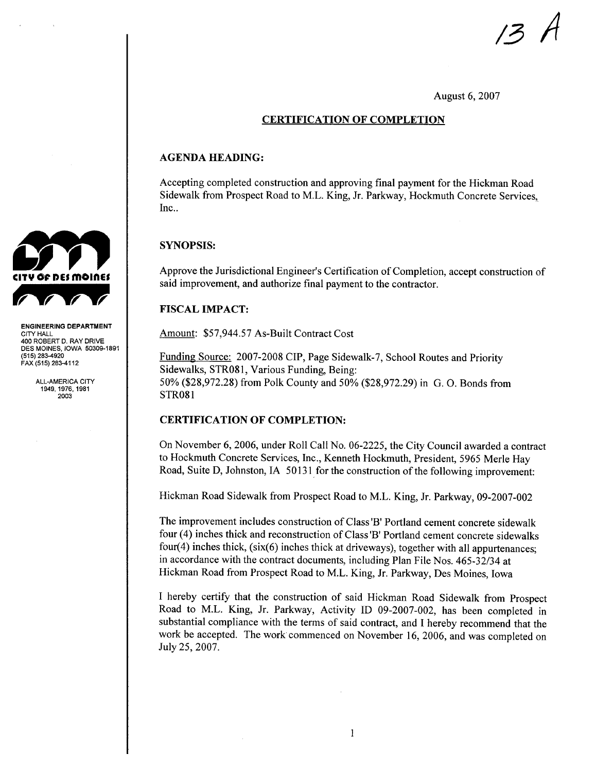

August 6, 2007

#### CERTIFICATION OF COMPLETION

#### AGENDA HEADING:

Accepting completed construction and approving final payment for the Hickman Road Sidewalk from Prospect Road to M.L. King, Jr. Parkway, Hockmuth Concrete Services, Inc..

#### SYNOPSIS:

Approve the Jurisdictional Engineer's Certification of Completion, accept construction of said improvement, and authorize final payment to the contractor.

#### FISCAL IMPACT:

Amount: \$57,944.57 As-Built Contract Cost

Funding Source: 2007-2008 CIP, Page Sidewalk-7, School Routes and Priority Sidewalks, STR081, Various Funding, Being: 50% (\$28,972.28) from Polk County and 50% (\$28,972.29) in G. O. Bonds from STR08 i

#### CERTIFICATION OF COMPLETION:

On November 6, 2006, under Roll Call No. 06-2225, the City Council awarded a contract to Hockmuth Concrete Services, Inc., Kenneth Hockmuth, President, 5965 Merle Hay Road, Suite D, Johnston, IA 50131 for the construction of the following improvement:

Hickman Road Sidewalk from Prospect Road to M.L. King, Jr. Parkway, 09-2007-002

The improvement includes construction of Class 'B' Portland cement concrete sidewalk four (4) inches thick and reconstruction of Class 'B' Portland cement concrete sidewalks four(4) inches thick, (six(6) inches thick at driveways), together with all appurtenances; in accordance with the contract documents, including Plan File Nos. 465-32/34 at Hickman Road from Prospect Road to M.L. King, Jr. Parkway, Des Moines, Iowa

I hereby certify that the construction of said Hickman Road Sidewalk from Prospect Road to M.L. King, Jr. Parkway, Activity ID 09-2007-002, has been completed in substantial compliance with the terms of said contract, and I hereby recommend that the work be accepted. The work commenced on November 16,2006, and was completed on July 25,2007.



ENGINEERING DEPARTMENT CITY HALL 400 ROBERT D. RAY DRIVE DES MOINES, IOWA 50309-1891 (515) 283-4920 FAX (515) 283-4112

> ALL-AMERICA CITY 1949, 1976, 1981 2003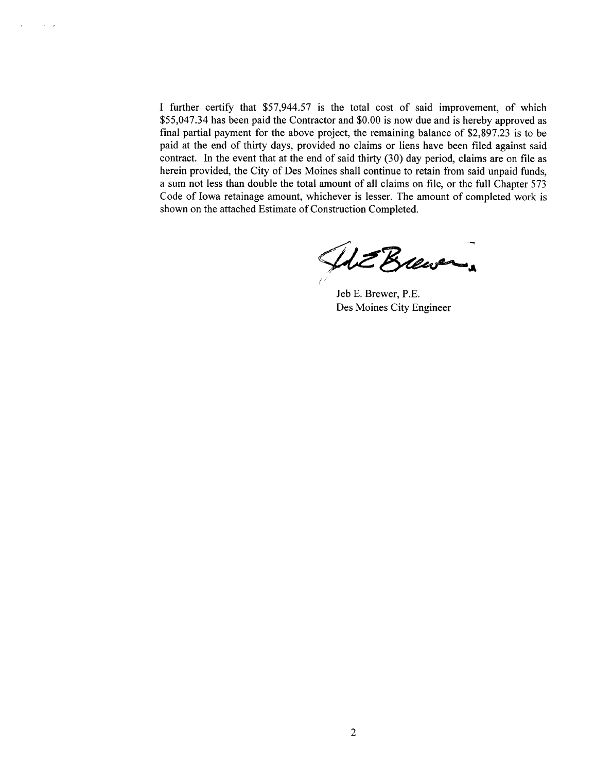I further certify that \$57,944.57 is the total cost of said improvement, of which \$55,047.34 has been paid the Contractor and \$0.00 is now due and is hereby approved as final partial payment for the above project, the remaining balance of \$2,897.23 is to be paid at the end of thirty days, provided no claims or liens have been filed against said contract. In the event that at the end of said thirty  $(30)$  day period, claims are on file as herein provided, the City of Des Moines shall continue to retain from said unpaid funds, a sum not less than double the total amount of all claims on fie, or the full Chapter 573 Code of Iowa retainage amount, whichever is lesser. The amount of completed work is shown on the attached Estimate of Construction Completed.

 $\sim$   $\sim$ 

IdE Brewer

Jeb E. Brewer, P.E. Des Moines City Engineer